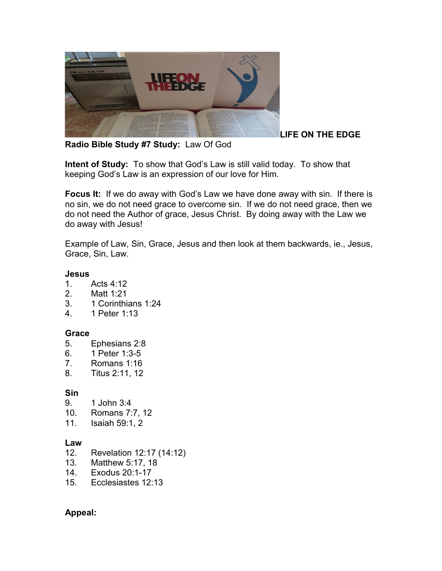

**LIFE ON THE EDGE** 

**Radio Bible Study #7 Study:** Law Of God

**Intent of Study:** To show that God's Law is still valid today. To show that keeping God's Law is an expression of our love for Him.

**Focus It:** If we do away with God's Law we have done away with sin. If there is no sin, we do not need grace to overcome sin. If we do not need grace, then we do not need the Author of grace, Jesus Christ. By doing away with the Law we do away with Jesus!

Example of Law, Sin, Grace, Jesus and then look at them backwards, ie., Jesus, Grace, Sin, Law.

#### **Jesus**

- 1. Acts 4:12
- 2. Matt 1:21
- 3. 1 Corinthians 1:24
- 4. 1 Peter 1:13

# **Grace**

- 5. Ephesians 2:8
- 6. 1 Peter 1:3-5
- 7. Romans 1:16
- 8. Titus 2:11, 12

# **Sin**

- 9. 1 John 3:4
- 10. Romans 7:7, 12
- 11. Isaiah 59:1, 2

# **Law**

- 12. Revelation 12:17 (14:12)
- 13. Matthew 5:17, 18
- 14. Exodus 20:1-17
- 15. Ecclesiastes 12:13

# **Appeal:**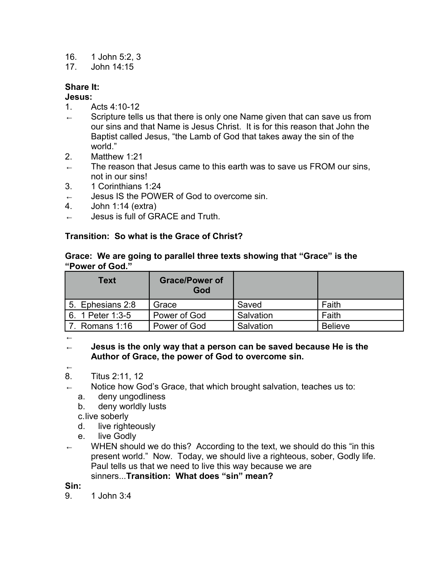- 16. 1 John 5:2, 3
- 17. John 14:15

# **Share It:**

### **Jesus:**

- 1. Acts 4:10-12
- $\leftarrow$  Scripture tells us that there is only one Name given that can save us from our sins and that Name is Jesus Christ. It is for this reason that John the Baptist called Jesus, "the Lamb of God that takes away the sin of the world."
- 2. Matthew 1:21
- $\leftarrow$  The reason that Jesus came to this earth was to save us FROM our sins, not in our sins!
- 3. 1 Corinthians 1:24
- ← Jesus IS the POWER of God to overcome sin.
- 4. John 1:14 (extra)
- ← Jesus is full of GRACE and Truth.

### **Transition: So what is the Grace of Christ?**

#### **Grace: We are going to parallel three texts showing that "Grace" is the "Power of God."**

| <b>Text</b>      | <b>Grace/Power of</b><br>God |           |                |
|------------------|------------------------------|-----------|----------------|
| 5. Ephesians 2:8 | Grace                        | Saved     | Faith          |
| 6. 1 Peter 1:3-5 | Power of God                 | Salvation | Faith          |
| 7. Romans 1:16   | Power of God                 | Salvation | <b>Believe</b> |

←

← **Jesus is the only way that a person can be saved because He is the Author of Grace, the power of God to overcome sin.**

←

- 8. Titus 2:11, 12
- ← Notice how God's Grace, that which brought salvation, teaches us to:
	- a. deny ungodliness
	- b. deny worldly lusts

c.live soberly

- d. live righteously
- e. live Godly
- WHEN should we do this? According to the text, we should do this "in this present world." Now. Today, we should live a righteous, sober, Godly life. Paul tells us that we need to live this way because we are sinners...**Transition: What does "sin" mean?**

**Sin:**

9. 1 John 3:4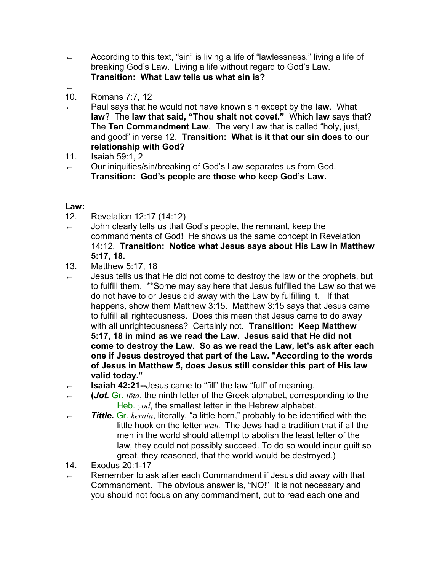- ← According to this text, "sin" is living a life of "lawlessness," living a life of breaking God's Law. Living a life without regard to God's Law. **Transition: What Law tells us what sin is?**
- ← 10. Romans 7:7, 12
- ← Paul says that he would not have known sin except by the **law**. What **law**? The **law that said, "Thou shalt not covet."** Which **law** says that? The **Ten Commandment Law**. The very Law that is called "holy, just, and good" in verse 12. **Transition: What is it that our sin does to our relationship with God?**
- 11. Isaiah 59:1, 2
- Our iniquities/sin/breaking of God's Law separates us from God. **Transition: God's people are those who keep God's Law.**

### **Law:**

- 12. Revelation 12:17 (14:12)
- $\leftarrow$  John clearly tells us that God's people, the remnant, keep the commandments of God! He shows us the same concept in Revelation 14:12. **Transition: Notice what Jesus says about His Law in Matthew 5:17, 18.**
- 13. Matthew 5:17, 18
- $\leftarrow$  Jesus tells us that He did not come to destroy the law or the prophets, but to fulfill them. \*\*Some may say here that Jesus fulfilled the Law so that we do not have to or Jesus did away with the Law by fulfilling it. If that happens, show them Matthew 3:15. Matthew 3:15 says that Jesus came to fulfill all righteousness. Does this mean that Jesus came to do away with all unrighteousness? Certainly not. **Transition: Keep Matthew 5:17, 18 in mind as we read the Law. Jesus said that He did not come to destroy the Law. So as we read the Law, let's ask after each one if Jesus destroyed that part of the Law. "According to the words of Jesus in Matthew 5, does Jesus still consider this part of His law valid today."**
- **Isaiah 42:21--Jesus came to "fill" the law "full" of meaning.**
- ← **(***Jot.* Gr. *iōta*, the ninth letter of the Greek alphabet, corresponding to the Heb. *yod*, the smallest letter in the Hebrew alphabet.
- ← *Tittle.* Gr. *keraia*, literally, "a little horn," probably to be identified with the little hook on the letter *wau.* The Jews had a tradition that if all the men in the world should attempt to abolish the least letter of the law, they could not possibly succeed. To do so would incur guilt so great, they reasoned, that the world would be destroyed.)
- 14. Exodus 20:1-17
- Remember to ask after each Commandment if Jesus did away with that Commandment. The obvious answer is, "NO!" It is not necessary and you should not focus on any commandment, but to read each one and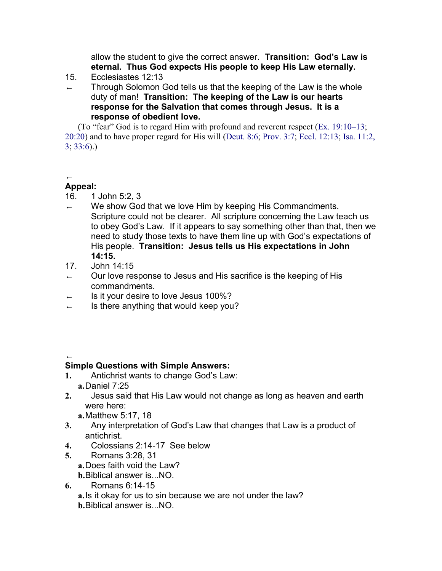allow the student to give the correct answer. **Transition: God's Law is eternal. Thus God expects His people to keep His Law eternally.**

- 15. Ecclesiastes 12:13
- Through Solomon God tells us that the keeping of the Law is the whole duty of man! **Transition: The keeping of the Law is our hearts response for the Salvation that comes through Jesus. It is a response of obedient love.**

(To "fear" God is to regard Him with profound and reverent respect (Ex. 19:10–13; 20:20) and to have proper regard for His will (Deut. 8:6; Prov. 3:7; Eccl. 12:13; Isa. 11:2, 3; 33:6).)

#### ← **Appeal:**

- 16. 1 John 5:2, 3
- $\leftarrow$  We show God that we love Him by keeping His Commandments. Scripture could not be clearer. All scripture concerning the Law teach us to obey God's Law. If it appears to say something other than that, then we need to study those texts to have them line up with God's expectations of His people. **Transition: Jesus tells us His expectations in John 14:15.**
- 17. John 14:15
- $\leftarrow$  Our love response to Jesus and His sacrifice is the keeping of His commandments.
- Is it your desire to love Jesus 100%?
- $\leftarrow$  Is there anything that would keep you?

# ←

# **Simple Questions with Simple Answers:**

- **1.** Antichrist wants to change God's Law: **a.**Daniel 7:25
- **2.** Jesus said that His Law would not change as long as heaven and earth were here:

**a.**Matthew 5:17, 18

- **3.** Any interpretation of God's Law that changes that Law is a product of antichrist.
- **4.** Colossians 2:14-17 See below
- **5.** Romans 3:28, 31 **a.**Does faith void the Law? **b.**Biblical answer is...NO.
- **6.** Romans 6:14-15

**a.**Is it okay for us to sin because we are not under the law? **b.**Biblical answer is. NO.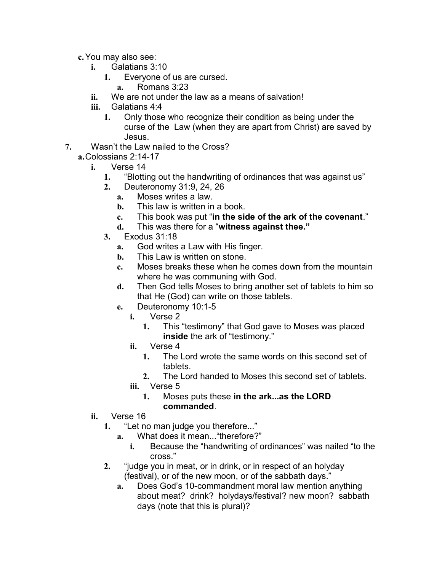- **c.**You may also see:
	- **i.** Galatians 3:10
		- **1.** Everyone of us are cursed.
			- **a.** Romans 3:23
	- **ii.** We are not under the law as a means of salvation!
	- **iii.** Galatians 4:4
		- **1.** Only those who recognize their condition as being under the curse of the Law (when they are apart from Christ) are saved by Jesus.
- **7.** Wasn't the Law nailed to the Cross?
	- **a.**Colossians 2:14-17
		- **i.** Verse 14
			- **1.** "Blotting out the handwriting of ordinances that was against us"
			- **2.** Deuteronomy 31:9, 24, 26
				- **a.** Moses writes a law.
				- **b.** This law is written in a book.
				- **c.** This book was put "**in the side of the ark of the covenant**."
				- **d.** This was there for a "**witness against thee."**
			- **3.** Exodus 31:18
				- **a.** God writes a Law with His finger.
				- **b.** This Law is written on stone.
				- **c.** Moses breaks these when he comes down from the mountain where he was communing with God.
				- **d.** Then God tells Moses to bring another set of tablets to him so that He (God) can write on those tablets.
				- **e.** Deuteronomy 10:1-5
					- **i.** Verse 2
						- **1.** This "testimony" that God gave to Moses was placed **inside** the ark of "testimony."
					- **ii.** Verse 4
						- **1.** The Lord wrote the same words on this second set of tablets.
						- **2.** The Lord handed to Moses this second set of tablets.
					- **iii.** Verse 5
						- **1.** Moses puts these **in the ark...as the LORD commanded**.
		- **ii.** Verse 16
			- **1.** "Let no man judge you therefore..."
				- **a.** What does it mean..."therefore?"
					- **i.** Because the "handwriting of ordinances" was nailed "to the cross."
			- **2.** "judge you in meat, or in drink, or in respect of an holyday (festival), or of the new moon, or of the sabbath days."
				- **a.** Does God's 10-commandment moral law mention anything about meat? drink? holydays/festival? new moon? sabbath days (note that this is plural)?